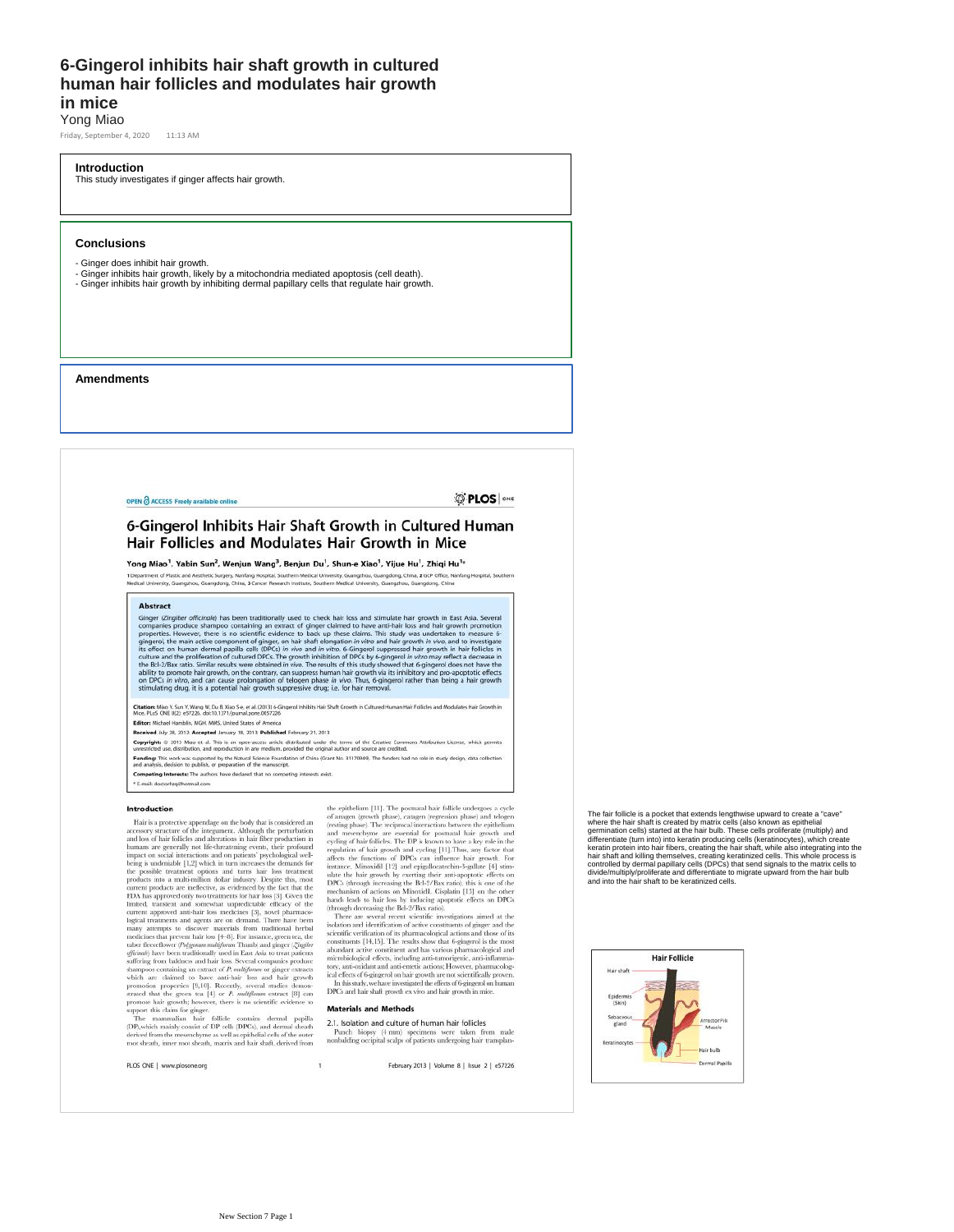## **6-Gingerol inhibits hair shaft growth in cultured human hair follicles and modulates hair growth in mice** Yong Miao

Friday, September 4, 2020 11:13 AM

#### **Introduction**

This study investigates if ginger affects hair growth.

## **Conclusions**

- Ginger does inhibit hair growth.
- Ginger inhibits hair growth, likely by a mitochondria mediated apoptosis (cell death). Ginger inhibits hair growth by inhibiting dermal papillary cells that regulate hair growth.

## **Amendments**

OPEN & ACCESS Freely available online

**D'PLOS** ONE

## 6-Gingerol Inhibits Hair Shaft Growth in Cultured Human Hair Follicles and Modulates Hair Growth in Mice

Yong Miao<sup>1</sup>, Yabin Sun<sup>2</sup>, Wenjun Wang<sup>3</sup>, Benjun Du<sup>1</sup>, Shun-e Xiao<sup>1</sup>, Yijue Hu<sup>1</sup>, Zhiqi Hu<sup>1,</sup>

1 Department of Plastic and Aesthetic Surgery, Nanfang Hospital, Southern Medical University, Guangsbou, Guangdong, China, 2 GCP Office, Nanfang Hospital, Southern<br>Medical University, Guangshou, Guangdong, China, 3 Cancer

#### **Abstract**

**ADSETE:**<br>Cinger (Zingiber officinale) has been traditionally used to check hair loss and stimulate hair growth in East Asia. Several companies produce shampo containing an extend of pinger climate to the anti-hair loss a

Citations Muo Y, Sun Y, Wang W, Du B, Xiao S-e, et al. (2013) 6-Gingerol inhibits Hair Shaft Growth in Cultured Human Hair Folkcles and Modulates Hair G<br>Mice, PLoS ONE 8/22: e5/7226, doi:10.1371/journal.pone.0057226

meer Fusa One bigs Estaga doctor is ripunnacionesios ago<br>Editor: Michael Hamblin, MGH, MMS, United States of America<br>Received July 28, 2012; Accepted January 18, 2013; Published February 21, 2013

Copyright: © 2013 Miso et al. This is an open-access article distributed under the terms of the Creative Commons Attribution License, which permits<br>unrestricted use, distribution, and reproduction in any medium, provided t Funding: This work was supported by the Natural Science Foundation of China (Grant No. 31170949). The funders had no role in study design, data collection<br>and analysis, decision to publish, or preparation of the manuscript

Competing Interests: The authors have declared that no competing interests exist.

E-mail: doctorhzq@hotmail.com

#### Introduction

**IFO CONCIDENT of the considered and the boy that is considered and the equidation of angeles) and the constrainer of the interpretation phase) and accessory structure of the interpretation (resting phase). The reciprocal**  $\operatorname{Hair}$  is a protective appendage on the body that is considered an

PLOS ONE | www.plosone.org

the epithelium [11]. The posmaal hair follicle undergoes a cycle of anagen (growth phase), catagen (regression phase) and teleogen (regression). The reciprocal interactions between the epithelium and meenchyme are esentia

microbiological effects, including anti-tumorigenic, anti-inflamma-<br>tory, anti-oxidant and anti-emetic actions; However, pharmacolog- $\,$ ical effects of 6-gingerol on hair growth are not scientifically proven. In this study, we have investigated the effects of 6-gingerol on human DPCs and hair shaft growth ex vivo and hair growth in mice.

Punch biopsy (4 mm) specimens were taken from male nonbalding occipital scalps of patients undergoing hair transplan-

February 2013 | Volume 8 | Issue 2 | e57226

The fair follicle is a pocket that extends lengthwise upward to create a "cave" where the hair shaft is created by matrix cells (also known as epithelial<br>germination cells) started at the hair bulb. These cells proliferate (multiply) and<br>differentiate (turn into) into keratin producing cells (keratino controlled by dermal papillary cells (DPCs) that send signals to the matrix cells to<br>divide/multiply/proliferate and differentiate to migrate upward from the hair bulb<br>and into the hair shaft to be keratinized cells.

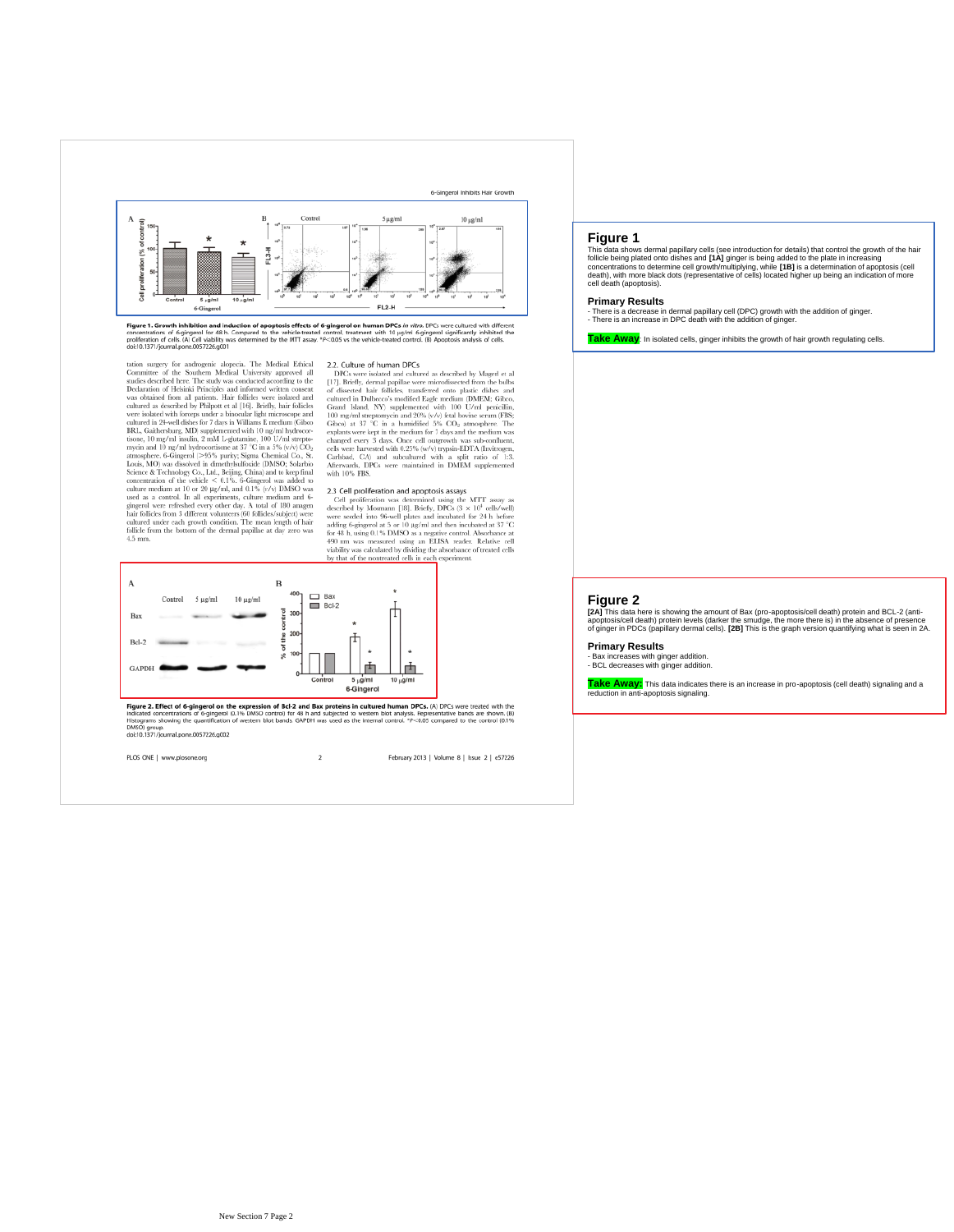

**Figure 1. Growth inhibition and induction of apoptosis effects of 6-gingerol on human DPCs** *in vitro***. DPCs were cultured with different concentrations of 6-gingerol on human DPCs in virto. DPCs were cultured with differe** 

**doct** 0.147/ipsumal<br>pone.005/226.0001<br>and pone.005/226.0001 assumps for and<br>regard in Committee of the Southern Medical University approved all studies described here. The study was conducted according to the<br>Declaration  $4.5 \text{ mm}$ 

2.2. Culture of human DPCs DPCs and cultured as described by Magerl et al [17]. Briefly, dermal papillae were microdisected from the bulls of dissected hair follicles, transferred onto plastic dishes and cultured in Dulbe

#### 2.3 Cell proliferation and apoptosis assays

**2.3 Cell proliferation and apoptosis assays**<br>
Cell proliferation and apoptosis assays Cell proliferation was described by Mosmann [18]. Briefly, DPGs (3  $\times$  10<sup>+</sup> cells/vell) and<br>in 95-well plates and incubated for 24 h



**Figure 2. Effect of 6-gingerol on the expression of Bcl-2 and Bax proteins in cultured human DPCs. (A) DPCs were treated with the expression of Bcl-2 and Bax proteins in included to the expression of the expression of th** Histograms showing the quantification<br>DMSOJ group.<br>doi:10.1371/journal.pone.0057226.g002

PLOS ONE | www.plosone.org  $\,$  2  $\,$ February 2013 | Volume 8 | Issue 2 | e57226

## **Figure 1**

This data shows dermal papillary cells (see introduction for details) that control the growth of the hair<br>follide being plated onto dishes and [14] ginger is being added to the plate in increasing<br>concentrations to determi

#### **Primary Results**

- There is a decrease in dermal papillary cell (DPC) growth with the addition of ginger. - There is an increase in DPC death with the addition of ginger.

**Take Away**: In isolated cells, ginger inhibits the growth of hair growth regulating cells.

#### **Figure 2**

**[2A]** This data here is showing the amount of Bax (pro-apoptosis/cell death) protein and BCL-2 (anti-<br>apoptosis/cell death) protein levels (darker the smudge, the more there is) in the absence of presence<br>of ginger in PDC

**Primary Results**

- Bax increases with ginger addition. - BCL decreases with ginger addition.

**Take Away:** This data indicates there is an increase in pro-apoptosis (cell death) signaling and a reduction in anti-apoptosis signaling.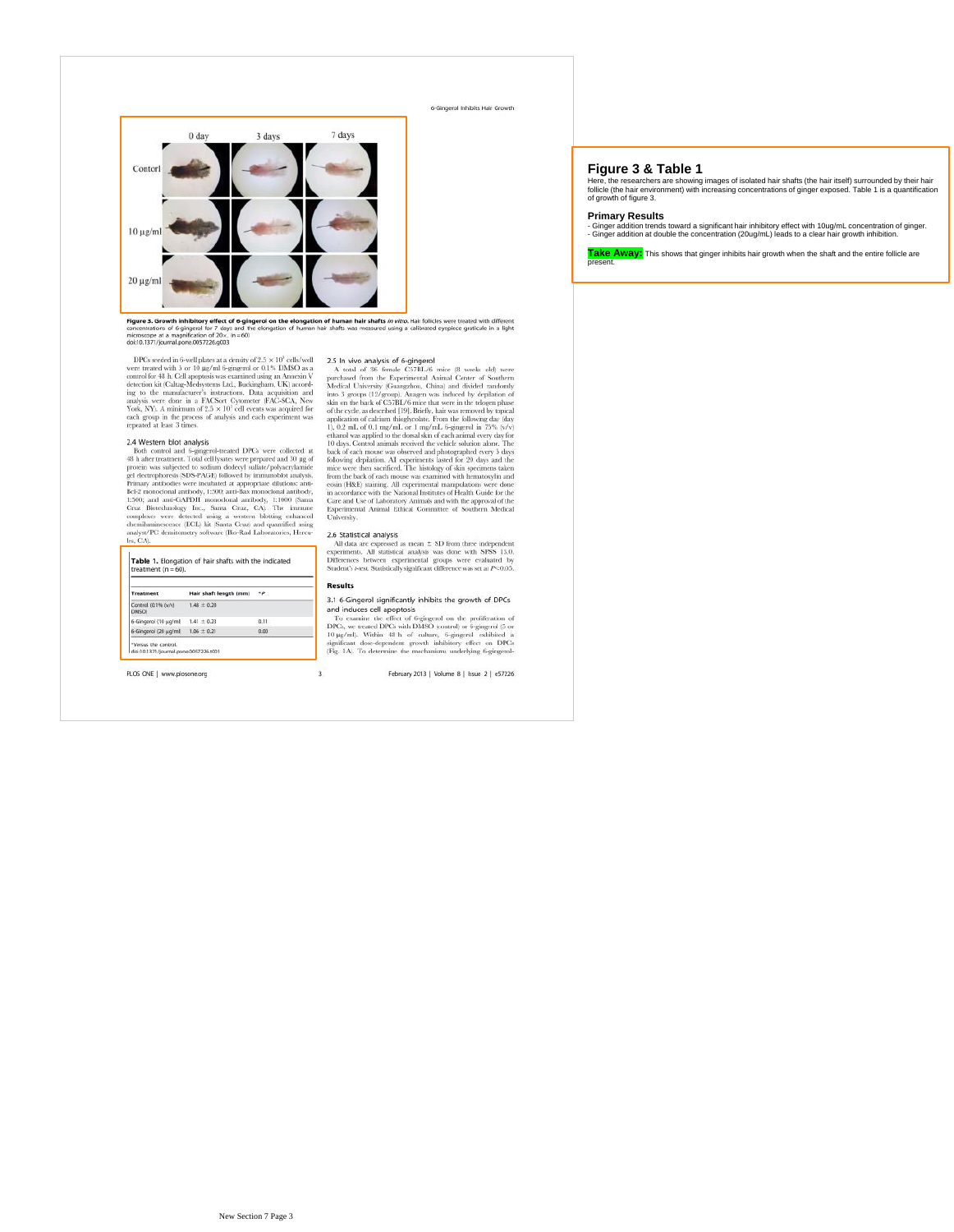6-Gingeral Inhibits Hair Growth



Figure 3. Growth inhibitory effect of 6-gingerol on the elongation of human hair shafts in wiro. Hair follicles were treated with different concentrations of 6-gingerol for 7 days and the elongation of human hair shafts wa concentrations of 6-gingerol for 7 days and t<br>microscope at a magnification of 20 x. (n = 60)<br>doi:10.1371/journal.pone.0057226.g003

DPCs seeded in 6-well plates at a density of 2.5 × 10° cells<br>lowedly one treated with 5 or 10 µg/ml 6-gingered or 0.1% DMSO as a counted for 48 h. Cell appoptosis was examined using an Amean V decision decision in decisio

#### 2.4 Western blot analysis

 $2.4$ Western blot analysis and fregagered-recard DPCs were collected at 48 h after treatment. Total cell lysaes were prepared and 30 µg of protein was subjected to sedium dedecyl sulfate/polyary<br>lamined protein gelectroph les, CA

| treatment $(n = 60)$ .      |                        |             |
|-----------------------------|------------------------|-------------|
| <b>Treatment</b>            | Hair shaft length (mm) | $\bullet p$ |
| Control (0.1% (wV)<br>DMSC/ | $1.48 \pm 0.20$        |             |
| 6-Gingerol (10 µg/mb        | $1.41 \pm 0.23$        | 0.11        |
| 6-Gingerol (20 µg/ml)       | $1.06 \pm 0.21$        | 0.00        |

PLOS ONE | www.plosone.org

d6r10.1371/j9umal pone.0057226.g003<br>
DFCs ested on the back of a ging profile of the second in S-well points are a density of 2.5 × 10<sup>3</sup> cells/well 25.5 In vivo analysis of 6-gingerol<br>
DFCs event treated with 5 or 10 µg/

#### 2.6 Statistical analysis

**2.6 Statistical analysis**<br> **2.6 Statistical analysis** was done with SPSS 13.0,<br> **All data are expressed as mean**  $\pm$  **SD from three independent<br>
Differences between experimental groups were evaluated by<br>
Difference suses** 

#### Results

 $\overline{\mathbf{3}}$ 

#### 3.1 6-Gingerol significantly inhibits the growth of DPCs and induces cell apoptosis

and induces cell apoptosis<br> $\label{eq:3}$  To examine the effect of beging<br>end on the proliferation of DPCs, we treated DPCs with DMSO (control) or beging<br>end  $\Im$  or 10 pag/ml, Within 48 h of column<br>t, begingered exhibited a s

February 2013 | Volume 8 | Issue 2 | e57226

## **Figure 3 & Table 1**

Here, the researchers are showing images of isolated hair shafts (the hair itself) surrounded by their hair<br>follicle (the hair environment) with increasing concentrations of ginger exposed. Table 1 is a quantification<br>of g

## **Primary Results**

- Ginger addition trends toward a significant hair inhibitory effect with 10ug/mL concentration of ginger. - Ginger addition at double the concentration (20ug/mL) leads to a clear hair growth inhibition.

**Take Away:** This shows that ginger inhibits hair growth when the shaft and the entire follicle are present.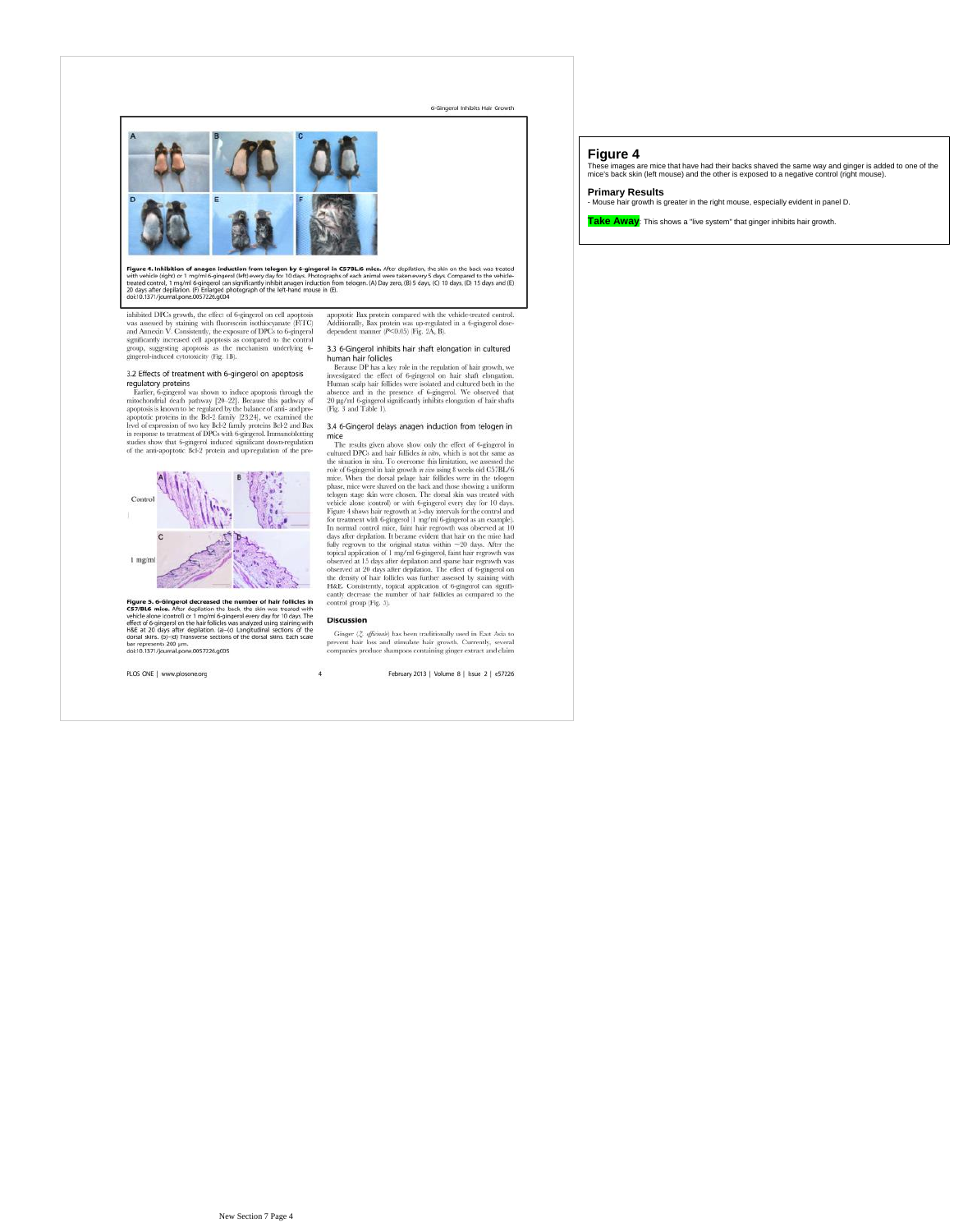

**Figure 4. Inhibition of anagen induction from telogen by 6-gingerol in C57BL/6 mice.** After depilation, the skin on the back was treated<br>with vehicle (right) or 1 mg/m/6-gingerol (left) evey day for 10 days. Photographs o

inhibited DPGs growth, the effect of 6-gingerol on cell apoptosis was assessed by staining with those<br>cocin isothocycunate (FTCI) and Amneoin V. Consistently, the exposure of DPCs to 6-gingerol significantly increased cel

# 3.2 Effects of treatment with 6-gingerol on apoptosis

3.2 Effects of treatment with 6-gingerol on apoptosis<br>regulatory proteins <br>example to the measure of the space of the latter, 6-gingered was shown to induce apoptosis through the<br>monochondrial denth pathway [20.22]. Becau



**Figure 5. 6-Gingerol decreased the number of hair follicles in CS7/BL6 mice.** After depilation the back, the same version we have tested with vehicle alone (control) or 1 mg/ml 6-gingerol every day for 10 days. The effec

PLOS ONE | www.plosone.org

apoptotic Bax protein compared with the vehicle-treated control.<br>Additionally, Bax protein was up-regulated in a 6-gingerol dose-dependent manner ( $P<0.05$ ) (Fig. 2A, B).

# 3.3 6-Gingerol inhibits hair shaft elongation in cultured<br>human hair follicles<br> $Because DP$  has a key role in the regulation of hair growth, we

nectaure tre mas a sey roue in the regulation of mar growing, we<br>cause the effect of 6-gingerol on hair shaft clongation. Human scalp hair foldiels were isolated and cultured both in the later<br>causal and cultured both in

# 3.4 6-Gingerol delays anagen induction from telogen in

3.4 6-Gingerol delays anagen induction from telogen in The results given above show only the effect of 6-gingerol in cultured DPCs and hair follicles in aim, which is not the simulation the simulation in the simulation in

#### **Discussion**

 $\overline{\overline{4}}$ 

 $\label{eq:Ging} \textbf{Ginger}\ \langle \mathcal{Z}, \textit{affcous} \rangle \text{ has been traditionally used in East Asian to prevent hair loss and stimulate hair growth. Currently, several companies produce sharpoos containing ginger extract and claim.}$ 

February 2013 | Volume 8 | Issue 2 | e57226

## **Figure 4**

These images are mice that have had their backs shaved the same way and ginger is added to one of the mice's back skin (left mouse) and the other is exposed to a negative control (right mouse).

#### **Primary Results**

- Mouse hair growth is greater in the right mouse, especially evident in panel D.

**Take Away**: This shows a "live system" that ginger inhibits hair growth.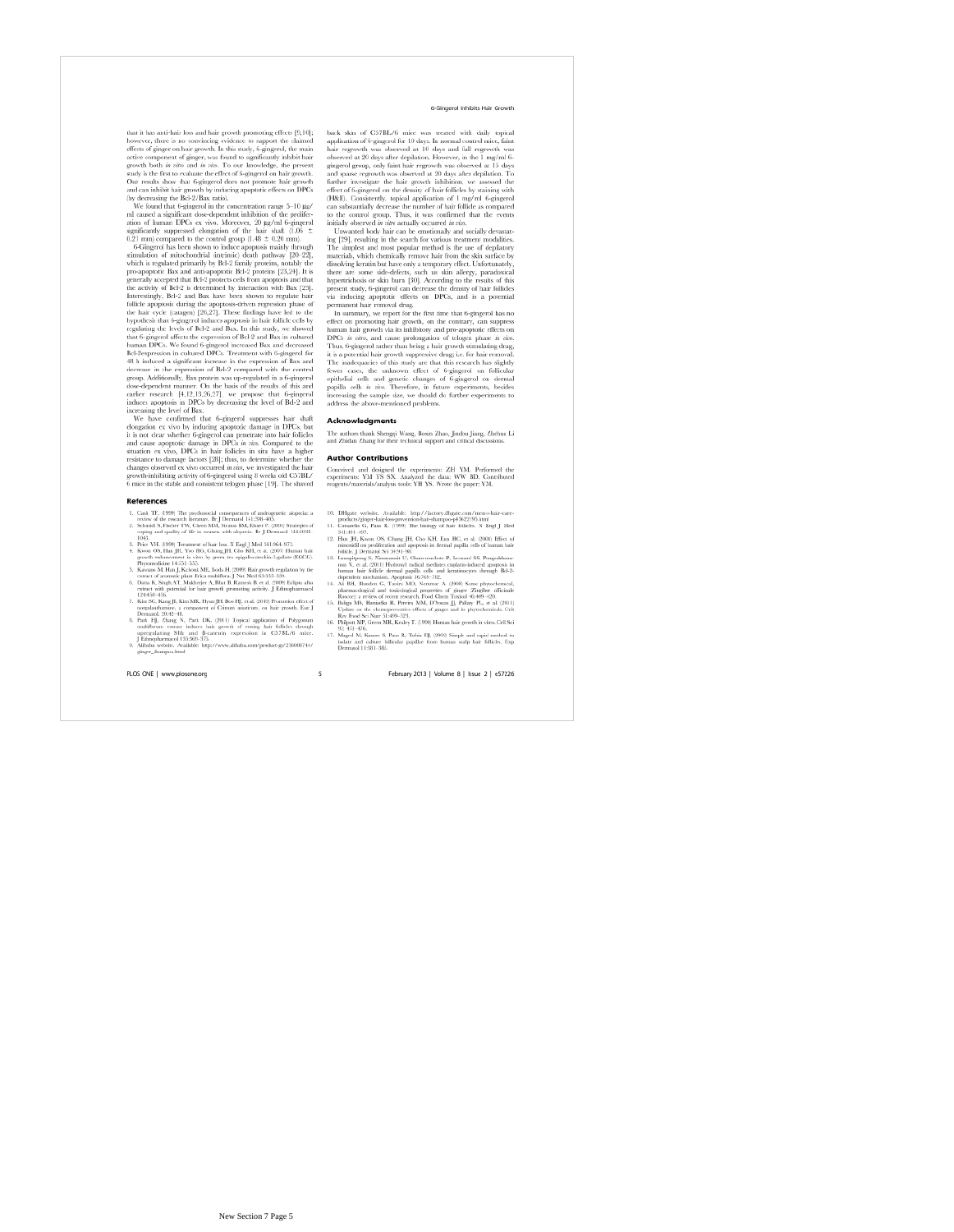## 6-Gingerol Inhibits Hair Growth

that it has anti-hair loss and hair growth promoting effects [9,10];<br>bowever, there is no convincing evidence to support the claimed<br>effects of gingeron, that in this noticy, 6-gingered, the main growth book<br>active compon

## **Referen**

- $\begin{tabular}{p{0.85\textwidth}} \textbf{N} & \textbf{C} & \textbf{C} & \textbf{C} \\ \textbf{N} & \textbf{C} & \textbf{C} & \textbf{C} \\ \textbf{N} & \textbf{C} & \textbf{C} & \textbf{C} \\ \textbf{N} & \textbf{C} & \textbf{C} & \textbf{C} \\ \textbf{N} & \textbf{C} & \textbf{C} & \textbf{C} \\ \textbf{N} & \textbf{C} & \textbf{C} & \textbf{C} \\ \textbf{N} & \textbf{C} & \textbf{C} & \textbf{C} \\ \textbf{N} & \$
- 
- 4. Kwent Os, Dan pa, an 'n virso by green ten epigaliscate<br/>tum- $\omega_{\rm{g}}$ an oor by green ten epigaliscatetum- $\omega_{\rm{g}}$ <br/>ma, an 'n virsoonle en 1453–535. Skonan M. Kasan M. Haal, Kelona M. Kasan<br/>S $\lambda$ Kasana M
- 
- 
- togradu<br/>thus into a component of Ceiman assistants on bair growth. Ear<br/> $\mathbb J$ 8. Prack HJ, Zhang N, Park DK, (2011) Topical application of Ped<br/>growth multifluous case and P-actual application of Pedicial and<br
- 

PLOS ONE | www.plosone.org

6 Gingerol Inhibits Hair Growth back skin of C57BL/6 mice was treated with daily topical application of G-pingerol for 10 days. In normal control mire, faint tegrowth was observed at 10 days and full regrowth was gingerol

#### **Acknowledgments**

The authors thank Shengqi Wang, Boxin Zhao, Jindou Jiang, Zhehua Li<br>and Zhidan Zhang for their technical support and critical discussions.

#### **Author Contributions**

**AUTHOT CONTENDATE:**<br>Concerned and designed the experiments: ZH YM. Performed the<br>experiments: YM YS SX. Analyzed the data: WW BD. Contributed<br>reagents/materials/analysis tools: YH YS. Wrote the paper: YM.

- 10. D<br>H<br/>gate vechsite. Available: http://factory.dligate.com/men-s-hair-care products/ginger-bas-baseprocent<br>co-hair-baseprock (SP). To<br/>anaria G, Pans  $\mathbbmss{1}$  (SP). The binders of Nearl SM<br/>(SP). Small Gauss
- 
- $\overline{13}$ .
- 
- . Han JH, Kwon OS, Comeg III, Cloo KH, Lou HC; et al. (2008) Eifect of themas minosidil on profiteration and apoptosis in deraul apolla echo of branan hair foldiels.) Destructions (3) 8:91)-18; Channovardore P, Lexand SS,  $\mathbf{R}$
- 16. Phil
- $\frac{97}{17}$  Mai

February 2013 | Volume 8 | Issue 2 | e57226